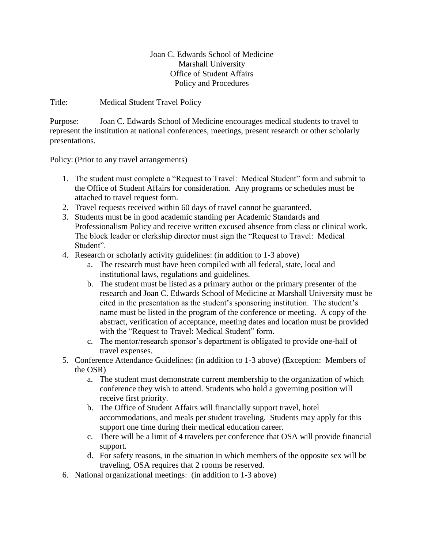## Joan C. Edwards School of Medicine Marshall University Office of Student Affairs Policy and Procedures

Title: Medical Student Travel Policy

Purpose: Joan C. Edwards School of Medicine encourages medical students to travel to represent the institution at national conferences, meetings, present research or other scholarly presentations.

Policy: (Prior to any travel arrangements)

- 1. The student must complete a "Request to Travel: Medical Student" form and submit to the Office of Student Affairs for consideration. Any programs or schedules must be attached to travel request form.
- 2. Travel requests received within 60 days of travel cannot be guaranteed.
- 3. Students must be in good academic standing per Academic Standards and Professionalism Policy and receive written excused absence from class or clinical work. The block leader or clerkship director must sign the "Request to Travel: Medical Student".
- 4. Research or scholarly activity guidelines: (in addition to 1-3 above)
	- a. The research must have been compiled with all federal, state, local and institutional laws, regulations and guidelines.
	- b. The student must be listed as a primary author or the primary presenter of the research and Joan C. Edwards School of Medicine at Marshall University must be cited in the presentation as the student's sponsoring institution. The student's name must be listed in the program of the conference or meeting. A copy of the abstract, verification of acceptance, meeting dates and location must be provided with the "Request to Travel: Medical Student" form.
	- c. The mentor/research sponsor's department is obligated to provide one-half of travel expenses.
- 5. Conference Attendance Guidelines: (in addition to 1-3 above) (Exception: Members of the OSR)
	- a. The student must demonstrate current membership to the organization of which conference they wish to attend. Students who hold a governing position will receive first priority.
	- b. The Office of Student Affairs will financially support travel, hotel accommodations, and meals per student traveling. Students may apply for this support one time during their medical education career.
	- c. There will be a limit of 4 travelers per conference that OSA will provide financial support.
	- d. For safety reasons, in the situation in which members of the opposite sex will be traveling, OSA requires that 2 rooms be reserved.
- 6. National organizational meetings: (in addition to 1-3 above)